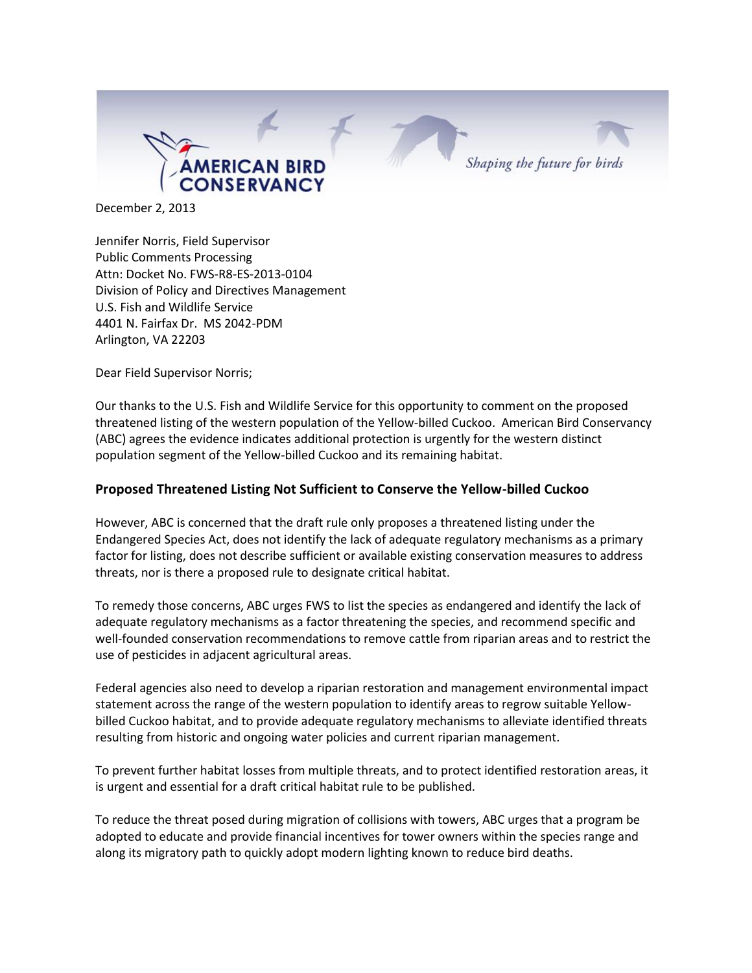

December 2, 2013

Jennifer Norris, Field Supervisor Public Comments Processing Attn: Docket No. FWS-R8-ES-2013-0104 Division of Policy and Directives Management U.S. Fish and Wildlife Service 4401 N. Fairfax Dr. MS 2042-PDM Arlington, VA 22203

Dear Field Supervisor Norris;

Our thanks to the U.S. Fish and Wildlife Service for this opportunity to comment on the proposed threatened listing of the western population of the Yellow-billed Cuckoo. American Bird Conservancy (ABC) agrees the evidence indicates additional protection is urgently for the western distinct population segment of the Yellow-billed Cuckoo and its remaining habitat.

#### **Proposed Threatened Listing Not Sufficient to Conserve the Yellow-billed Cuckoo**

However, ABC is concerned that the draft rule only proposes a threatened listing under the Endangered Species Act, does not identify the lack of adequate regulatory mechanisms as a primary factor for listing, does not describe sufficient or available existing conservation measures to address threats, nor is there a proposed rule to designate critical habitat.

To remedy those concerns, ABC urges FWS to list the species as endangered and identify the lack of adequate regulatory mechanisms as a factor threatening the species, and recommend specific and well-founded conservation recommendations to remove cattle from riparian areas and to restrict the use of pesticides in adjacent agricultural areas.

Federal agencies also need to develop a riparian restoration and management environmental impact statement across the range of the western population to identify areas to regrow suitable Yellowbilled Cuckoo habitat, and to provide adequate regulatory mechanisms to alleviate identified threats resulting from historic and ongoing water policies and current riparian management.

To prevent further habitat losses from multiple threats, and to protect identified restoration areas, it is urgent and essential for a draft critical habitat rule to be published.

To reduce the threat posed during migration of collisions with towers, ABC urges that a program be adopted to educate and provide financial incentives for tower owners within the species range and along its migratory path to quickly adopt modern lighting known to reduce bird deaths.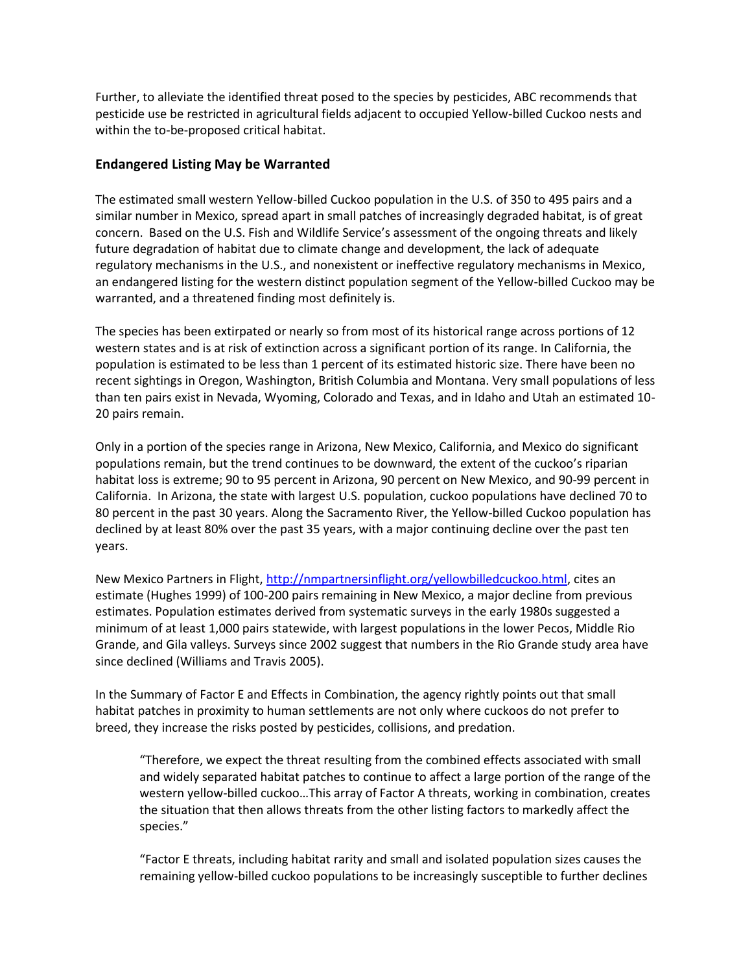Further, to alleviate the identified threat posed to the species by pesticides, ABC recommends that pesticide use be restricted in agricultural fields adjacent to occupied Yellow-billed Cuckoo nests and within the to-be-proposed critical habitat.

## **Endangered Listing May be Warranted**

The estimated small western Yellow-billed Cuckoo population in the U.S. of 350 to 495 pairs and a similar number in Mexico, spread apart in small patches of increasingly degraded habitat, is of great concern. Based on the U.S. Fish and Wildlife Service's assessment of the ongoing threats and likely future degradation of habitat due to climate change and development, the lack of adequate regulatory mechanisms in the U.S., and nonexistent or ineffective regulatory mechanisms in Mexico, an endangered listing for the western distinct population segment of the Yellow-billed Cuckoo may be warranted, and a threatened finding most definitely is.

The species has been extirpated or nearly so from most of its historical range across portions of 12 western states and is at risk of extinction across a significant portion of its range. In California, the population is estimated to be less than 1 percent of its estimated historic size. There have been no recent sightings in Oregon, Washington, British Columbia and Montana. Very small populations of less than ten pairs exist in Nevada, Wyoming, Colorado and Texas, and in Idaho and Utah an estimated 10- 20 pairs remain.

Only in a portion of the species range in Arizona, New Mexico, California, and Mexico do significant populations remain, but the trend continues to be downward, the extent of the cuckoo's riparian habitat loss is extreme; 90 to 95 percent in Arizona, 90 percent on New Mexico, and 90-99 percent in California. In Arizona, the state with largest U.S. population, cuckoo populations have declined 70 to 80 percent in the past 30 years. Along the Sacramento River, the Yellow-billed Cuckoo population has declined by at least 80% over the past 35 years, with a major continuing decline over the past ten years.

New Mexico Partners in Flight, [http://nmpartnersinflight.org/yellowbilledcuckoo.html,](http://nmpartnersinflight.org/yellowbilledcuckoo.html) cites an estimate (Hughes 1999) of 100-200 pairs remaining in New Mexico, a major decline from previous estimates. Population estimates derived from systematic surveys in the early 1980s suggested a minimum of at least 1,000 pairs statewide, with largest populations in the lower Pecos, Middle Rio Grande, and Gila valleys. Surveys since 2002 suggest that numbers in the Rio Grande study area have since declined (Williams and Travis 2005).

In the Summary of Factor E and Effects in Combination, the agency rightly points out that small habitat patches in proximity to human settlements are not only where cuckoos do not prefer to breed, they increase the risks posted by pesticides, collisions, and predation.

"Therefore, we expect the threat resulting from the combined effects associated with small and widely separated habitat patches to continue to affect a large portion of the range of the western yellow-billed cuckoo…This array of Factor A threats, working in combination, creates the situation that then allows threats from the other listing factors to markedly affect the species."

"Factor E threats, including habitat rarity and small and isolated population sizes causes the remaining yellow-billed cuckoo populations to be increasingly susceptible to further declines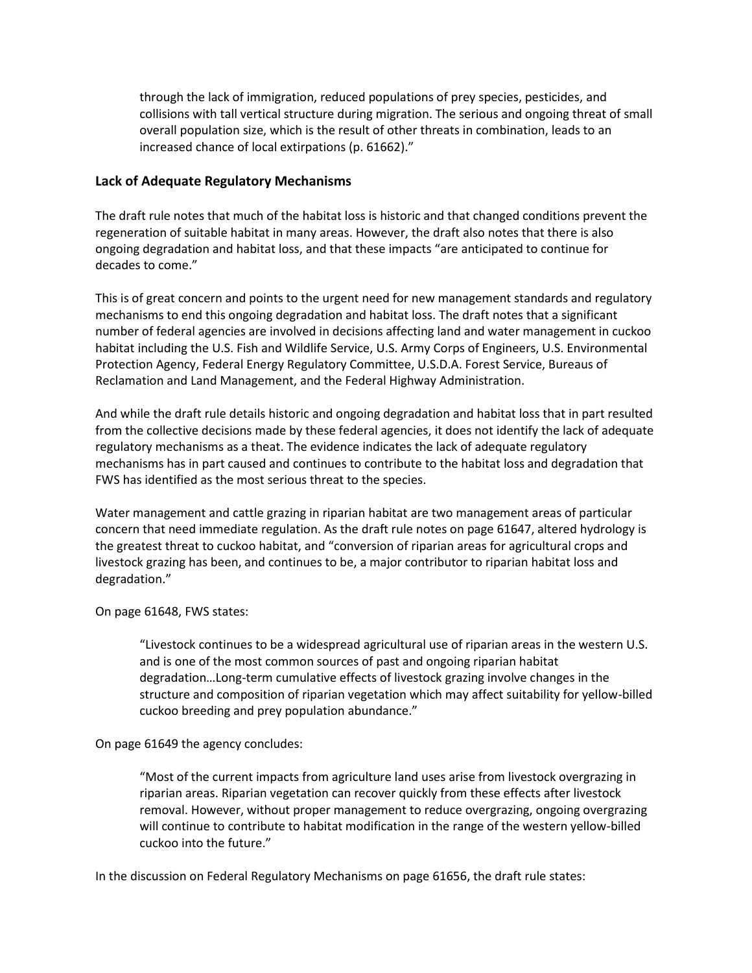through the lack of immigration, reduced populations of prey species, pesticides, and collisions with tall vertical structure during migration. The serious and ongoing threat of small overall population size, which is the result of other threats in combination, leads to an increased chance of local extirpations (p. 61662)."

### **Lack of Adequate Regulatory Mechanisms**

The draft rule notes that much of the habitat loss is historic and that changed conditions prevent the regeneration of suitable habitat in many areas. However, the draft also notes that there is also ongoing degradation and habitat loss, and that these impacts "are anticipated to continue for decades to come."

This is of great concern and points to the urgent need for new management standards and regulatory mechanisms to end this ongoing degradation and habitat loss. The draft notes that a significant number of federal agencies are involved in decisions affecting land and water management in cuckoo habitat including the U.S. Fish and Wildlife Service, U.S. Army Corps of Engineers, U.S. Environmental Protection Agency, Federal Energy Regulatory Committee, U.S.D.A. Forest Service, Bureaus of Reclamation and Land Management, and the Federal Highway Administration.

And while the draft rule details historic and ongoing degradation and habitat loss that in part resulted from the collective decisions made by these federal agencies, it does not identify the lack of adequate regulatory mechanisms as a theat. The evidence indicates the lack of adequate regulatory mechanisms has in part caused and continues to contribute to the habitat loss and degradation that FWS has identified as the most serious threat to the species.

Water management and cattle grazing in riparian habitat are two management areas of particular concern that need immediate regulation. As the draft rule notes on page 61647, altered hydrology is the greatest threat to cuckoo habitat, and "conversion of riparian areas for agricultural crops and livestock grazing has been, and continues to be, a major contributor to riparian habitat loss and degradation."

#### On page 61648, FWS states:

"Livestock continues to be a widespread agricultural use of riparian areas in the western U.S. and is one of the most common sources of past and ongoing riparian habitat degradation…Long-term cumulative effects of livestock grazing involve changes in the structure and composition of riparian vegetation which may affect suitability for yellow-billed cuckoo breeding and prey population abundance."

# On page 61649 the agency concludes:

"Most of the current impacts from agriculture land uses arise from livestock overgrazing in riparian areas. Riparian vegetation can recover quickly from these effects after livestock removal. However, without proper management to reduce overgrazing, ongoing overgrazing will continue to contribute to habitat modification in the range of the western yellow-billed cuckoo into the future."

In the discussion on Federal Regulatory Mechanisms on page 61656, the draft rule states: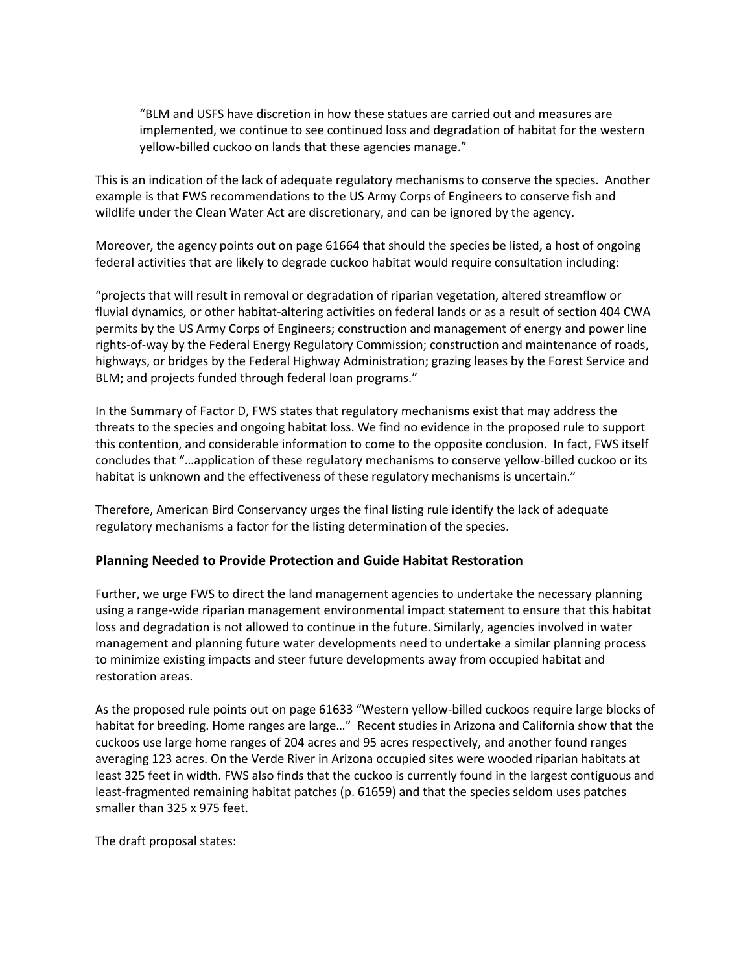"BLM and USFS have discretion in how these statues are carried out and measures are implemented, we continue to see continued loss and degradation of habitat for the western yellow-billed cuckoo on lands that these agencies manage."

This is an indication of the lack of adequate regulatory mechanisms to conserve the species. Another example is that FWS recommendations to the US Army Corps of Engineers to conserve fish and wildlife under the Clean Water Act are discretionary, and can be ignored by the agency.

Moreover, the agency points out on page 61664 that should the species be listed, a host of ongoing federal activities that are likely to degrade cuckoo habitat would require consultation including:

"projects that will result in removal or degradation of riparian vegetation, altered streamflow or fluvial dynamics, or other habitat-altering activities on federal lands or as a result of section 404 CWA permits by the US Army Corps of Engineers; construction and management of energy and power line rights-of-way by the Federal Energy Regulatory Commission; construction and maintenance of roads, highways, or bridges by the Federal Highway Administration; grazing leases by the Forest Service and BLM; and projects funded through federal loan programs."

In the Summary of Factor D, FWS states that regulatory mechanisms exist that may address the threats to the species and ongoing habitat loss. We find no evidence in the proposed rule to support this contention, and considerable information to come to the opposite conclusion. In fact, FWS itself concludes that "…application of these regulatory mechanisms to conserve yellow-billed cuckoo or its habitat is unknown and the effectiveness of these regulatory mechanisms is uncertain."

Therefore, American Bird Conservancy urges the final listing rule identify the lack of adequate regulatory mechanisms a factor for the listing determination of the species.

#### **Planning Needed to Provide Protection and Guide Habitat Restoration**

Further, we urge FWS to direct the land management agencies to undertake the necessary planning using a range-wide riparian management environmental impact statement to ensure that this habitat loss and degradation is not allowed to continue in the future. Similarly, agencies involved in water management and planning future water developments need to undertake a similar planning process to minimize existing impacts and steer future developments away from occupied habitat and restoration areas.

As the proposed rule points out on page 61633 "Western yellow-billed cuckoos require large blocks of habitat for breeding. Home ranges are large…" Recent studies in Arizona and California show that the cuckoos use large home ranges of 204 acres and 95 acres respectively, and another found ranges averaging 123 acres. On the Verde River in Arizona occupied sites were wooded riparian habitats at least 325 feet in width. FWS also finds that the cuckoo is currently found in the largest contiguous and least-fragmented remaining habitat patches (p. 61659) and that the species seldom uses patches smaller than 325 x 975 feet.

The draft proposal states: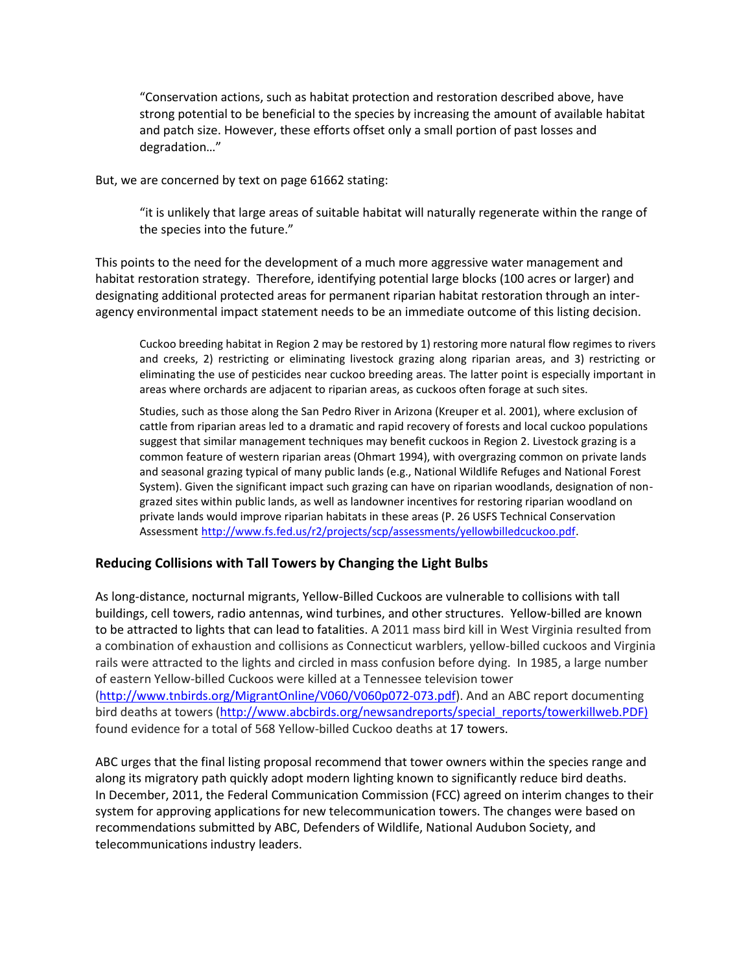"Conservation actions, such as habitat protection and restoration described above, have strong potential to be beneficial to the species by increasing the amount of available habitat and patch size. However, these efforts offset only a small portion of past losses and degradation…"

But, we are concerned by text on page 61662 stating:

"it is unlikely that large areas of suitable habitat will naturally regenerate within the range of the species into the future."

This points to the need for the development of a much more aggressive water management and habitat restoration strategy. Therefore, identifying potential large blocks (100 acres or larger) and designating additional protected areas for permanent riparian habitat restoration through an interagency environmental impact statement needs to be an immediate outcome of this listing decision.

Cuckoo breeding habitat in Region 2 may be restored by 1) restoring more natural flow regimes to rivers and creeks, 2) restricting or eliminating livestock grazing along riparian areas, and 3) restricting or eliminating the use of pesticides near cuckoo breeding areas. The latter point is especially important in areas where orchards are adjacent to riparian areas, as cuckoos often forage at such sites.

Studies, such as those along the San Pedro River in Arizona (Kreuper et al. 2001), where exclusion of cattle from riparian areas led to a dramatic and rapid recovery of forests and local cuckoo populations suggest that similar management techniques may benefit cuckoos in Region 2. Livestock grazing is a common feature of western riparian areas (Ohmart 1994), with overgrazing common on private lands and seasonal grazing typical of many public lands (e.g., National Wildlife Refuges and National Forest System). Given the significant impact such grazing can have on riparian woodlands, designation of nongrazed sites within public lands, as well as landowner incentives for restoring riparian woodland on private lands would improve riparian habitats in these areas (P. 26 USFS Technical Conservation Assessment [http://www.fs.fed.us/r2/projects/scp/assessments/yellowbilledcuckoo.pdf.](http://www.fs.fed.us/r2/projects/scp/assessments/yellowbilledcuckoo.pdf)

#### **Reducing Collisions with Tall Towers by Changing the Light Bulbs**

As long-distance, nocturnal migrants, Yellow-Billed Cuckoos are vulnerable to collisions with tall buildings, cell towers, radio antennas, wind turbines, and other structures. Yellow-billed are known to be attracted to lights that can lead to fatalities. A 2011 mass bird kill in West Virginia resulted from a combination of exhaustion and collisions as Connecticut warblers, yellow-billed cuckoos and Virginia rails were attracted to the lights and circled in mass confusion before dying. In 1985, a large number of eastern Yellow-billed Cuckoos were killed at a Tennessee television tower [\(http://www.tnbirds.org/MigrantOnline/V060/V060p072-073.pdf\)](http://www.tnbirds.org/MigrantOnline/V060/V060p072-073.pdf). And an ABC report documenting bird deaths at towers [\(http://www.abcbirds.org/newsandreports/special\\_reports/towerkillweb.PDF\)](http://www.abcbirds.org/newsandreports/special_reports/towerkillweb.PDF) found evidence for a total of 568 Yellow-billed Cuckoo deaths at 17 towers.

ABC urges that the final listing proposal recommend that tower owners within the species range and along its migratory path quickly adopt modern lighting known to significantly reduce bird deaths. In December, 2011, the Federal Communication Commission (FCC) agreed on interim changes to their system for approving applications for new telecommunication towers. The changes were based on recommendations submitted by ABC, Defenders of Wildlife, National Audubon Society, and telecommunications industry leaders.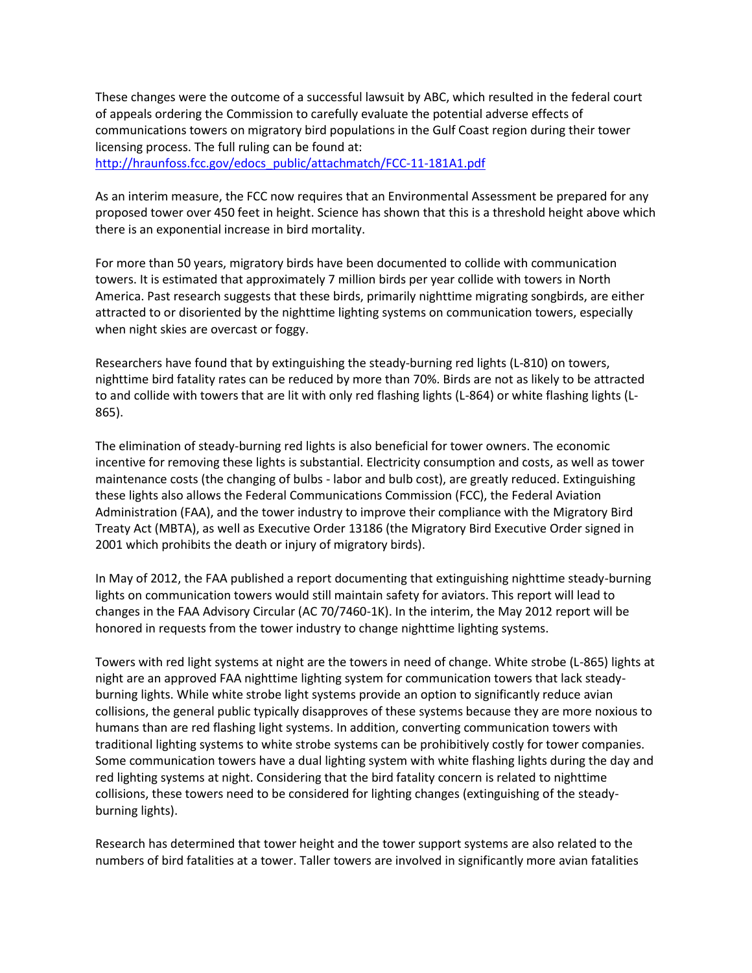These changes were the outcome of a successful lawsuit by ABC, which resulted in the federal court of appeals ordering the Commission to carefully evaluate the potential adverse effects of communications towers on migratory bird populations in the Gulf Coast region during their tower licensing process. The full ruling can be found at: [http://hraunfoss.fcc.gov/edocs\\_public/attachmatch/FCC-11-181A1.pdf](http://hraunfoss.fcc.gov/edocs_public/attachmatch/FCC-11-181A1.pdf)

As an interim measure, the FCC now requires that an Environmental Assessment be prepared for any proposed tower over 450 feet in height. Science has shown that this is a threshold height above which there is an exponential increase in bird mortality.

For more than 50 years, migratory birds have been documented to collide with communication towers. It is estimated that approximately 7 million birds per year collide with towers in North America. Past research suggests that these birds, primarily nighttime migrating songbirds, are either attracted to or disoriented by the nighttime lighting systems on communication towers, especially when night skies are overcast or foggy.

Researchers have found that by extinguishing the steady-burning red lights (L-810) on towers, nighttime bird fatality rates can be reduced by more than 70%. Birds are not as likely to be attracted to and collide with towers that are lit with only red flashing lights (L-864) or white flashing lights (L-865).

The elimination of steady-burning red lights is also beneficial for tower owners. The economic incentive for removing these lights is substantial. Electricity consumption and costs, as well as tower maintenance costs (the changing of bulbs - labor and bulb cost), are greatly reduced. Extinguishing these lights also allows the Federal Communications Commission (FCC), the Federal Aviation Administration (FAA), and the tower industry to improve their compliance with the Migratory Bird Treaty Act (MBTA), as well as Executive Order 13186 (the Migratory Bird Executive Order signed in 2001 which prohibits the death or injury of migratory birds).

In May of 2012, the FAA published a report documenting that extinguishing nighttime steady-burning lights on communication towers would still maintain safety for aviators. This report will lead to changes in the FAA Advisory Circular (AC 70/7460-1K). In the interim, the May 2012 report will be honored in requests from the tower industry to change nighttime lighting systems.

Towers with red light systems at night are the towers in need of change. White strobe (L-865) lights at night are an approved FAA nighttime lighting system for communication towers that lack steadyburning lights. While white strobe light systems provide an option to significantly reduce avian collisions, the general public typically disapproves of these systems because they are more noxious to humans than are red flashing light systems. In addition, converting communication towers with traditional lighting systems to white strobe systems can be prohibitively costly for tower companies. Some communication towers have a dual lighting system with white flashing lights during the day and red lighting systems at night. Considering that the bird fatality concern is related to nighttime collisions, these towers need to be considered for lighting changes (extinguishing of the steadyburning lights).

Research has determined that tower height and the tower support systems are also related to the numbers of bird fatalities at a tower. Taller towers are involved in significantly more avian fatalities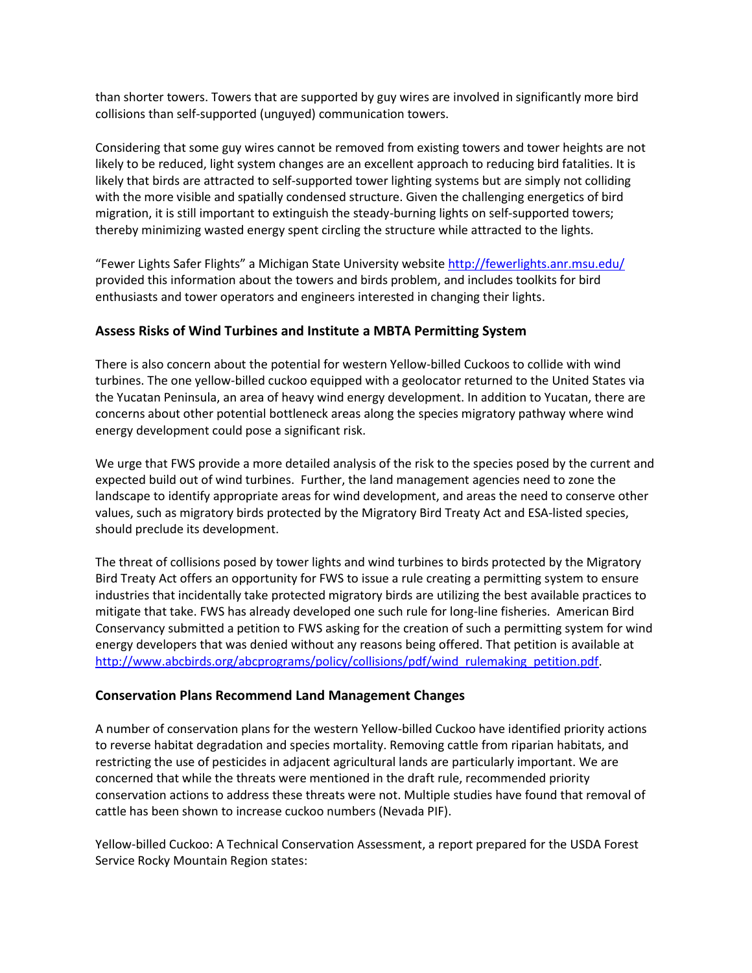than shorter towers. Towers that are supported by guy wires are involved in significantly more bird collisions than self-supported (unguyed) communication towers.

Considering that some guy wires cannot be removed from existing towers and tower heights are not likely to be reduced, light system changes are an excellent approach to reducing bird fatalities. It is likely that birds are attracted to self-supported tower lighting systems but are simply not colliding with the more visible and spatially condensed structure. Given the challenging energetics of bird migration, it is still important to extinguish the steady-burning lights on self-supported towers; thereby minimizing wasted energy spent circling the structure while attracted to the lights.

"Fewer Lights Safer Flights" a Michigan State University website <http://fewerlights.anr.msu.edu/> provided this information about the towers and birds problem, and includes toolkits for bird enthusiasts and tower operators and engineers interested in changing their lights.

### **Assess Risks of Wind Turbines and Institute a MBTA Permitting System**

There is also concern about the potential for western Yellow-billed Cuckoos to collide with wind turbines. The one yellow-billed cuckoo equipped with a geolocator returned to the United States via the Yucatan Peninsula, an area of heavy wind energy development. In addition to Yucatan, there are concerns about other potential bottleneck areas along the species migratory pathway where wind energy development could pose a significant risk.

We urge that FWS provide a more detailed analysis of the risk to the species posed by the current and expected build out of wind turbines. Further, the land management agencies need to zone the landscape to identify appropriate areas for wind development, and areas the need to conserve other values, such as migratory birds protected by the Migratory Bird Treaty Act and ESA-listed species, should preclude its development.

The threat of collisions posed by tower lights and wind turbines to birds protected by the Migratory Bird Treaty Act offers an opportunity for FWS to issue a rule creating a permitting system to ensure industries that incidentally take protected migratory birds are utilizing the best available practices to mitigate that take. FWS has already developed one such rule for long-line fisheries. American Bird Conservancy submitted a petition to FWS asking for the creation of such a permitting system for wind energy developers that was denied without any reasons being offered. That petition is available at [http://www.abcbirds.org/abcprograms/policy/collisions/pdf/wind\\_rulemaking\\_petition.pdf.](http://www.abcbirds.org/abcprograms/policy/collisions/pdf/wind_rulemaking_petition.pdf)

#### **Conservation Plans Recommend Land Management Changes**

A number of conservation plans for the western Yellow-billed Cuckoo have identified priority actions to reverse habitat degradation and species mortality. Removing cattle from riparian habitats, and restricting the use of pesticides in adjacent agricultural lands are particularly important. We are concerned that while the threats were mentioned in the draft rule, recommended priority conservation actions to address these threats were not. Multiple studies have found that removal of cattle has been shown to increase cuckoo numbers (Nevada PIF).

Yellow-billed Cuckoo: A Technical Conservation Assessment, a report prepared for the USDA Forest Service Rocky Mountain Region states: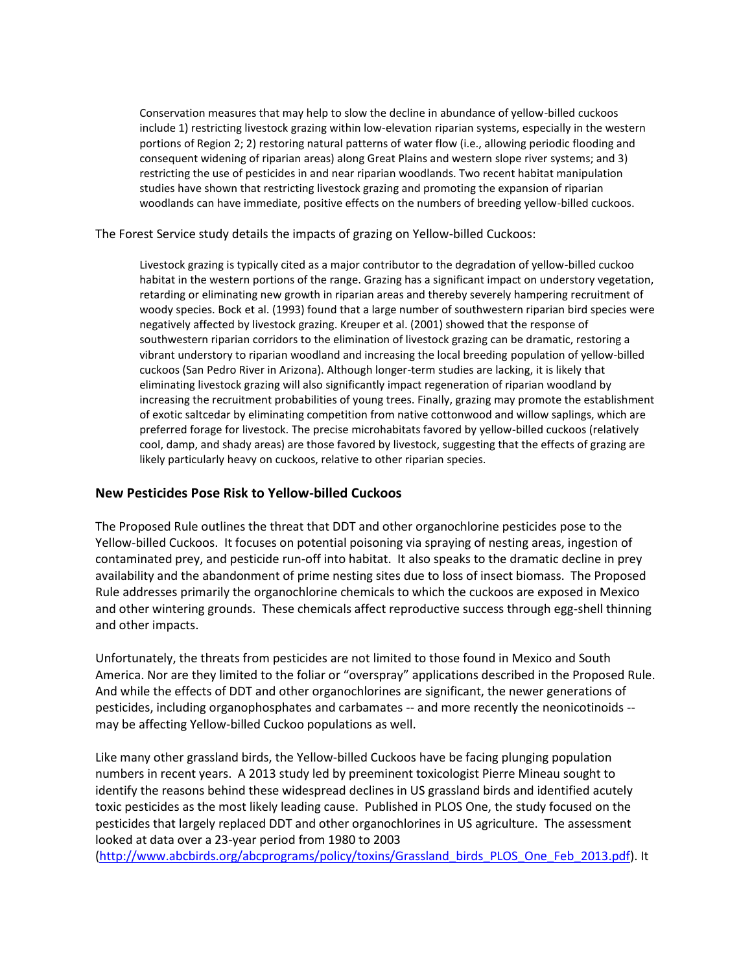Conservation measures that may help to slow the decline in abundance of yellow-billed cuckoos include 1) restricting livestock grazing within low-elevation riparian systems, especially in the western portions of Region 2; 2) restoring natural patterns of water flow (i.e., allowing periodic flooding and consequent widening of riparian areas) along Great Plains and western slope river systems; and 3) restricting the use of pesticides in and near riparian woodlands. Two recent habitat manipulation studies have shown that restricting livestock grazing and promoting the expansion of riparian woodlands can have immediate, positive effects on the numbers of breeding yellow-billed cuckoos.

The Forest Service study details the impacts of grazing on Yellow-billed Cuckoos:

Livestock grazing is typically cited as a major contributor to the degradation of yellow-billed cuckoo habitat in the western portions of the range. Grazing has a significant impact on understory vegetation, retarding or eliminating new growth in riparian areas and thereby severely hampering recruitment of woody species. Bock et al. (1993) found that a large number of southwestern riparian bird species were negatively affected by livestock grazing. Kreuper et al. (2001) showed that the response of southwestern riparian corridors to the elimination of livestock grazing can be dramatic, restoring a vibrant understory to riparian woodland and increasing the local breeding population of yellow-billed cuckoos (San Pedro River in Arizona). Although longer-term studies are lacking, it is likely that eliminating livestock grazing will also significantly impact regeneration of riparian woodland by increasing the recruitment probabilities of young trees. Finally, grazing may promote the establishment of exotic saltcedar by eliminating competition from native cottonwood and willow saplings, which are preferred forage for livestock. The precise microhabitats favored by yellow-billed cuckoos (relatively cool, damp, and shady areas) are those favored by livestock, suggesting that the effects of grazing are likely particularly heavy on cuckoos, relative to other riparian species.

#### **New Pesticides Pose Risk to Yellow-billed Cuckoos**

The Proposed Rule outlines the threat that DDT and other organochlorine pesticides pose to the Yellow-billed Cuckoos. It focuses on potential poisoning via spraying of nesting areas, ingestion of contaminated prey, and pesticide run-off into habitat. It also speaks to the dramatic decline in prey availability and the abandonment of prime nesting sites due to loss of insect biomass. The Proposed Rule addresses primarily the organochlorine chemicals to which the cuckoos are exposed in Mexico and other wintering grounds. These chemicals affect reproductive success through egg-shell thinning and other impacts.

Unfortunately, the threats from pesticides are not limited to those found in Mexico and South America. Nor are they limited to the foliar or "overspray" applications described in the Proposed Rule. And while the effects of DDT and other organochlorines are significant, the newer generations of pesticides, including organophosphates and carbamates -- and more recently the neonicotinoids - may be affecting Yellow-billed Cuckoo populations as well.

Like many other grassland birds, the Yellow-billed Cuckoos have be facing plunging population numbers in recent years. A 2013 study led by preeminent toxicologist Pierre Mineau sought to identify the reasons behind these widespread declines in US grassland birds and identified acutely toxic pesticides as the most likely leading cause. Published in PLOS One, the study focused on the pesticides that largely replaced DDT and other organochlorines in US agriculture. The assessment looked at data over a 23-year period from 1980 to 2003

[\(http://www.abcbirds.org/abcprograms/policy/toxins/Grassland\\_birds\\_PLOS\\_One\\_Feb\\_2013.pdf\)](http://www.abcbirds.org/abcprograms/policy/toxins/Grassland_birds_PLOS_One_Feb_2013.pdf). It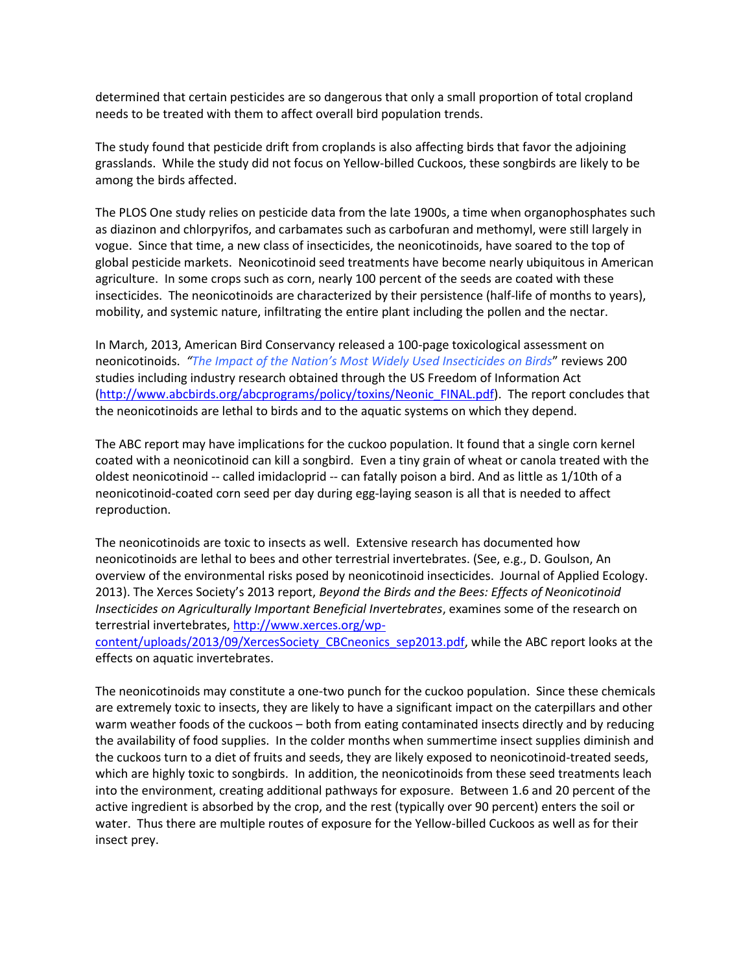determined that certain pesticides are so dangerous that only a small proportion of total cropland needs to be treated with them to affect overall bird population trends.

The study found that pesticide drift from croplands is also affecting birds that favor the adjoining grasslands. While the study did not focus on Yellow-billed Cuckoos, these songbirds are likely to be among the birds affected.

The PLOS One study relies on pesticide data from the late 1900s, a time when organophosphates such as diazinon and chlorpyrifos, and carbamates such as carbofuran and methomyl, were still largely in vogue. Since that time, a new class of insecticides, the neonicotinoids, have soared to the top of global pesticide markets. Neonicotinoid seed treatments have become nearly ubiquitous in American agriculture. In some crops such as corn, nearly 100 percent of the seeds are coated with these insecticides. The neonicotinoids are characterized by their persistence (half-life of months to years), mobility, and systemic nature, infiltrating the entire plant including the pollen and the nectar.

In March, 2013, American Bird Conservancy released a 100-page toxicological assessment on neonicotinoids. *["The Impact of the Nation's Most Widely Used Insecticides on Birds](http://www.abcbirds.org/abcprograms/policy/toxins/Neonic_FINAL.pdf)*" reviews 200 studies including industry research obtained through the US Freedom of Information Act [\(http://www.abcbirds.org/abcprograms/policy/toxins/Neonic\\_FINAL.pdf\)](http://www.abcbirds.org/abcprograms/policy/toxins/Neonic_FINAL.pdf). The report concludes that the neonicotinoids are lethal to birds and to the aquatic systems on which they depend.

The ABC report may have implications for the cuckoo population. It found that a single corn kernel coated with a neonicotinoid can kill a songbird. Even a tiny grain of wheat or canola treated with the oldest neonicotinoid -- called imidacloprid -- can fatally poison a bird. And as little as 1/10th of a neonicotinoid-coated corn seed per day during egg-laying season is all that is needed to affect reproduction.

The neonicotinoids are toxic to insects as well. Extensive research has documented how neonicotinoids are lethal to bees and other terrestrial invertebrates. (See, e.g., D. Goulson, An overview of the environmental risks posed by neonicotinoid insecticides. Journal of Applied Ecology. 2013). The Xerces Society's 2013 report, *Beyond the Birds and the Bees: Effects of Neonicotinoid Insecticides on Agriculturally Important Beneficial Invertebrates*, examines some of the research on terrestrial invertebrates, [http://www.xerces.org/wp-](http://www.xerces.org/wp-content/uploads/2013/09/XercesSociety_CBCneonics_sep2013.pdf)

[content/uploads/2013/09/XercesSociety\\_CBCneonics\\_sep2013.pdf,](http://www.xerces.org/wp-content/uploads/2013/09/XercesSociety_CBCneonics_sep2013.pdf) while the ABC report looks at the effects on aquatic invertebrates.

The neonicotinoids may constitute a one-two punch for the cuckoo population. Since these chemicals are extremely toxic to insects, they are likely to have a significant impact on the caterpillars and other warm weather foods of the cuckoos – both from eating contaminated insects directly and by reducing the availability of food supplies. In the colder months when summertime insect supplies diminish and the cuckoos turn to a diet of fruits and seeds, they are likely exposed to neonicotinoid-treated seeds, which are highly toxic to songbirds. In addition, the neonicotinoids from these seed treatments leach into the environment, creating additional pathways for exposure. Between 1.6 and 20 percent of the active ingredient is absorbed by the crop, and the rest (typically over 90 percent) enters the soil or water. Thus there are multiple routes of exposure for the Yellow-billed Cuckoos as well as for their insect prey.